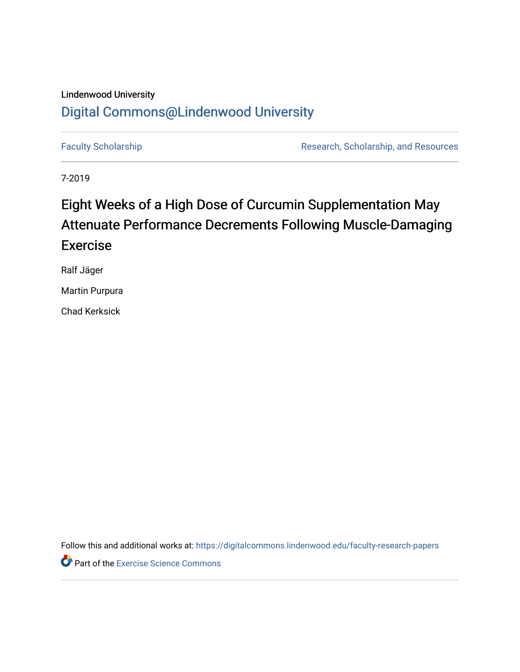## Lindenwood University

## [Digital Commons@Lindenwood University](https://digitalcommons.lindenwood.edu/)

[Faculty Scholarship](https://digitalcommons.lindenwood.edu/faculty-research-papers) **Research, Scholarship, and Resources** Research, Scholarship, and Resources

7-2019

# Eight Weeks of a High Dose of Curcumin Supplementation May Attenuate Performance Decrements Following Muscle-Damaging Exercise

Ralf Jäger

Martin Purpura

Chad Kerksick

Follow this and additional works at: [https://digitalcommons.lindenwood.edu/faculty-research-papers](https://digitalcommons.lindenwood.edu/faculty-research-papers?utm_source=digitalcommons.lindenwood.edu%2Ffaculty-research-papers%2F57&utm_medium=PDF&utm_campaign=PDFCoverPages)

**Part of the [Exercise Science Commons](http://network.bepress.com/hgg/discipline/1091?utm_source=digitalcommons.lindenwood.edu%2Ffaculty-research-papers%2F57&utm_medium=PDF&utm_campaign=PDFCoverPages)**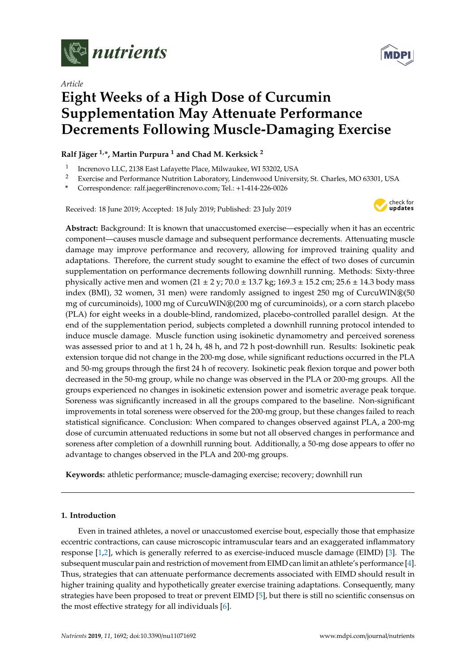

*Article*



# **Eight Weeks of a High Dose of Curcumin Supplementation May Attenuate Performance Decrements Following Muscle-Damaging Exercise**

### **Ralf Jäger 1,\*, Martin Purpura <sup>1</sup> and Chad M. Kerksick <sup>2</sup>**

- 1 Increnovo LLC, 2138 East Lafayette Place, Milwaukee, WI 53202, USA
- <sup>2</sup> Exercise and Performance Nutrition Laboratory, Lindenwood University, St. Charles, MO 63301, USA
- **\*** Correspondence: ralf.jaeger@increnovo.com; Tel.: +1-414-226-0026

Received: 18 June 2019; Accepted: 18 July 2019; Published: 23 July 2019



**Abstract:** Background: It is known that unaccustomed exercise—especially when it has an eccentric component—causes muscle damage and subsequent performance decrements. Attenuating muscle damage may improve performance and recovery, allowing for improved training quality and adaptations. Therefore, the current study sought to examine the effect of two doses of curcumin supplementation on performance decrements following downhill running. Methods: Sixty-three physically active men and women (21 ± 2 y; 70.0 ± 13.7 kg; 169.3 ± 15.2 cm; 25.6 ± 14.3 body mass index (BMI), 32 women, 31 men) were randomly assigned to ingest 250 mg of CurcuWIN®(50) mg of curcuminoids), 1000 mg of CurcuWIN®(200 mg of curcuminoids), or a corn starch placebo (PLA) for eight weeks in a double-blind, randomized, placebo-controlled parallel design. At the end of the supplementation period, subjects completed a downhill running protocol intended to induce muscle damage. Muscle function using isokinetic dynamometry and perceived soreness was assessed prior to and at 1 h, 24 h, 48 h, and 72 h post-downhill run. Results: Isokinetic peak extension torque did not change in the 200-mg dose, while significant reductions occurred in the PLA and 50-mg groups through the first 24 h of recovery. Isokinetic peak flexion torque and power both decreased in the 50-mg group, while no change was observed in the PLA or 200-mg groups. All the groups experienced no changes in isokinetic extension power and isometric average peak torque. Soreness was significantly increased in all the groups compared to the baseline. Non-significant improvements in total soreness were observed for the 200-mg group, but these changes failed to reach statistical significance. Conclusion: When compared to changes observed against PLA, a 200-mg dose of curcumin attenuated reductions in some but not all observed changes in performance and soreness after completion of a downhill running bout. Additionally, a 50-mg dose appears to offer no advantage to changes observed in the PLA and 200-mg groups.

**Keywords:** athletic performance; muscle-damaging exercise; recovery; downhill run

### **1. Introduction**

Even in trained athletes, a novel or unaccustomed exercise bout, especially those that emphasize eccentric contractions, can cause microscopic intramuscular tears and an exaggerated inflammatory response [\[1,](#page-13-0)[2\]](#page-13-1), which is generally referred to as exercise-induced muscle damage (EIMD) [\[3\]](#page-13-2). The subsequent muscular pain and restriction of movement from EIMD can limit an athlete's performance [\[4\]](#page-13-3). Thus, strategies that can attenuate performance decrements associated with EIMD should result in higher training quality and hypothetically greater exercise training adaptations. Consequently, many strategies have been proposed to treat or prevent EIMD [\[5\]](#page-13-4), but there is still no scientific consensus on the most effective strategy for all individuals [\[6\]](#page-13-5).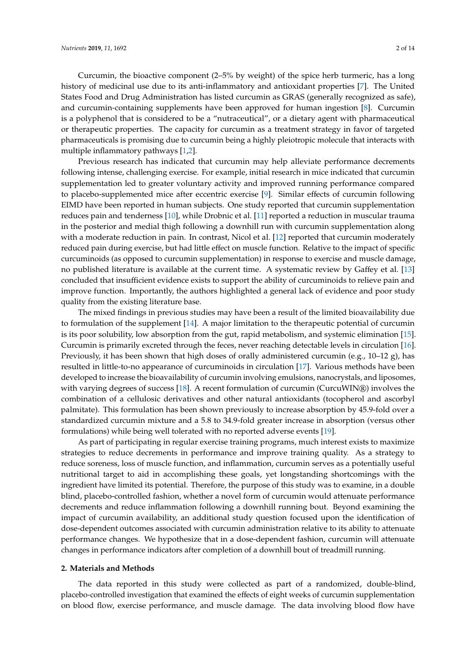Curcumin, the bioactive component (2–5% by weight) of the spice herb turmeric, has a long history of medicinal use due to its anti-inflammatory and antioxidant properties [\[7\]](#page-13-6). The United States Food and Drug Administration has listed curcumin as GRAS (generally recognized as safe), and curcumin-containing supplements have been approved for human ingestion [\[8\]](#page-13-7). Curcumin is a polyphenol that is considered to be a "nutraceutical", or a dietary agent with pharmaceutical or therapeutic properties. The capacity for curcumin as a treatment strategy in favor of targeted pharmaceuticals is promising due to curcumin being a highly pleiotropic molecule that interacts with multiple inflammatory pathways [\[1](#page-13-0)[,2\]](#page-13-1).

Previous research has indicated that curcumin may help alleviate performance decrements following intense, challenging exercise. For example, initial research in mice indicated that curcumin supplementation led to greater voluntary activity and improved running performance compared to placebo-supplemented mice after eccentric exercise [\[9\]](#page-13-8). Similar effects of curcumin following EIMD have been reported in human subjects. One study reported that curcumin supplementation reduces pain and tenderness [\[10\]](#page-13-9), while Drobnic et al. [\[11\]](#page-13-10) reported a reduction in muscular trauma in the posterior and medial thigh following a downhill run with curcumin supplementation along with a moderate reduction in pain. In contrast, Nicol et al. [\[12\]](#page-13-11) reported that curcumin moderately reduced pain during exercise, but had little effect on muscle function. Relative to the impact of specific curcuminoids (as opposed to curcumin supplementation) in response to exercise and muscle damage, no published literature is available at the current time. A systematic review by Gaffey et al. [\[13\]](#page-13-12) concluded that insufficient evidence exists to support the ability of curcuminoids to relieve pain and improve function. Importantly, the authors highlighted a general lack of evidence and poor study quality from the existing literature base.

The mixed findings in previous studies may have been a result of the limited bioavailability due to formulation of the supplement [\[14\]](#page-13-13). A major limitation to the therapeutic potential of curcumin is its poor solubility, low absorption from the gut, rapid metabolism, and systemic elimination [\[15\]](#page-13-14). Curcumin is primarily excreted through the feces, never reaching detectable levels in circulation [\[16\]](#page-13-15). Previously, it has been shown that high doses of orally administered curcumin (e.g., 10–12 g), has resulted in little-to-no appearance of curcuminoids in circulation [\[17\]](#page-13-16). Various methods have been developed to increase the bioavailability of curcumin involving emulsions, nanocrystals, and liposomes, with varying degrees of success [\[18\]](#page-13-17). A recent formulation of curcumin (CurcuWIN®) involves the combination of a cellulosic derivatives and other natural antioxidants (tocopherol and ascorbyl palmitate). This formulation has been shown previously to increase absorption by 45.9-fold over a standardized curcumin mixture and a 5.8 to 34.9-fold greater increase in absorption (versus other formulations) while being well tolerated with no reported adverse events [\[19\]](#page-13-18).

As part of participating in regular exercise training programs, much interest exists to maximize strategies to reduce decrements in performance and improve training quality. As a strategy to reduce soreness, loss of muscle function, and inflammation, curcumin serves as a potentially useful nutritional target to aid in accomplishing these goals, yet longstanding shortcomings with the ingredient have limited its potential. Therefore, the purpose of this study was to examine, in a double blind, placebo-controlled fashion, whether a novel form of curcumin would attenuate performance decrements and reduce inflammation following a downhill running bout. Beyond examining the impact of curcumin availability, an additional study question focused upon the identification of dose-dependent outcomes associated with curcumin administration relative to its ability to attenuate performance changes. We hypothesize that in a dose-dependent fashion, curcumin will attenuate changes in performance indicators after completion of a downhill bout of treadmill running.

### **2. Materials and Methods**

The data reported in this study were collected as part of a randomized, double-blind, placebo-controlled investigation that examined the effects of eight weeks of curcumin supplementation on blood flow, exercise performance, and muscle damage. The data involving blood flow have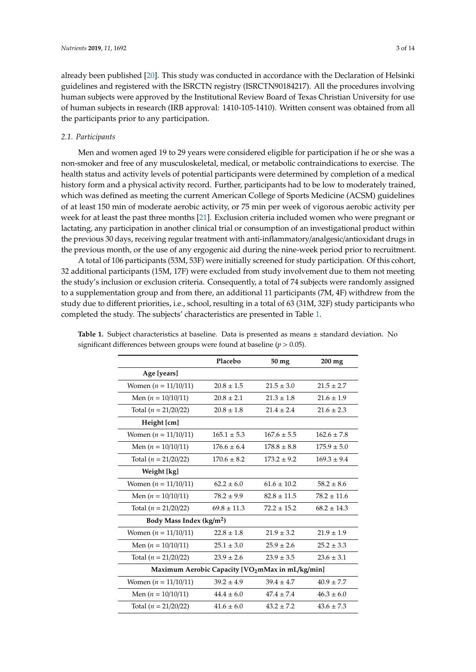already been published [\[20\]](#page-14-0). This study was conducted in accordance with the Declaration of Helsinki guidelines and registered with the ISRCTN registry (ISRCTN90184217). All the procedures involving human subjects were approved by the Institutional Review Board of Texas Christian University for use of human subjects in research (IRB approval: 1410-105-1410). Written consent was obtained from all the participants prior to any participation.

### *2.1. Participants*

Men and women aged 19 to 29 years were considered eligible for participation if he or she was a non-smoker and free of any musculoskeletal, medical, or metabolic contraindications to exercise. The health status and activity levels of potential participants were determined by completion of a medical history form and a physical activity record. Further, participants had to be low to moderately trained, which was defined as meeting the current American College of Sports Medicine (ACSM) guidelines of at least 150 min of moderate aerobic activity, or 75 min per week of vigorous aerobic activity per week for at least the past three months [\[21\]](#page-14-1). Exclusion criteria included women who were pregnant or lactating, any participation in another clinical trial or consumption of an investigational product within the previous 30 days, receiving regular treatment with anti-inflammatory/analgesic/antioxidant drugs in the previous month, or the use of any ergogenic aid during the nine-week period prior to recruitment.

A total of 106 participants (53M, 53F) were initially screened for study participation. Of this cohort, 32 additional participants (15M, 17F) were excluded from study involvement due to them not meeting the study's inclusion or exclusion criteria. Consequently, a total of 74 subjects were randomly assigned to a supplementation group and from there, an additional 11 participants (7M, 4F) withdrew from the study due to different priorities, i.e., school, resulting in a total of 63 (31M, 32F) study participants who completed the study. The subjects' characteristics are presented in Table [1.](#page-4-0)

|                                                 | Placebo         | 50 mg           | $200$ mg        |  |
|-------------------------------------------------|-----------------|-----------------|-----------------|--|
| Age [years]                                     |                 |                 |                 |  |
| Women $(n = 11/10/11)$                          | $20.8 \pm 1.5$  | $21.5 \pm 3.0$  | $21.5 \pm 2.7$  |  |
| Men $(n = 10/10/11)$                            | $20.8 \pm 2.1$  | $21.3 \pm 1.8$  | $21.6 \pm 1.9$  |  |
| Total $(n = 21/20/22)$                          | $20.8 \pm 1.8$  | $21.4 \pm 2.4$  | $21.6 \pm 2.3$  |  |
| Height [cm]                                     |                 |                 |                 |  |
| Women $(n = 11/10/11)$                          | $165.1 \pm 5.3$ | $167.6 \pm 5.5$ | $162.6 \pm 7.8$ |  |
| Men $(n = 10/10/11)$                            | $176.6 \pm 6.4$ | $178.8 \pm 8.8$ | $175.9 \pm 5.0$ |  |
| Total $(n = 21/20/22)$                          | $170.6 \pm 8.2$ | $173.2 \pm 9.2$ | $169.3 \pm 9.4$ |  |
| Weight [kg]                                     |                 |                 |                 |  |
| Women $(n = 11/10/11)$                          | $62.2 \pm 6.0$  | $61.6 \pm 10.2$ | $58.2 \pm 8.6$  |  |
| Men $(n = 10/10/11)$                            | $78.2 \pm 9.9$  | $82.8 \pm 11.5$ | $78.2 \pm 11.6$ |  |
| Total $(n = 21/20/22)$                          | $69.8 \pm 11.3$ | $72.2 \pm 15.2$ | $68.2 \pm 14.3$ |  |
| Body Mass Index (kg/m <sup>2</sup> )            |                 |                 |                 |  |
| Women $(n = 11/10/11)$                          | $22.8 \pm 1.8$  | $21.9 \pm 3.2$  | $21.9 \pm 1.9$  |  |
| Men $(n = 10/10/11)$                            | $25.1 \pm 3.0$  | $25.9 \pm 2.6$  | $25.2 \pm 3.3$  |  |
| Total $(n = 21/20/22)$                          | $23.9 \pm 2.6$  | $23.9 \pm 3.5$  | $23.6 \pm 3.1$  |  |
| Maximum Aerobic Capacity [VO2mMax in mL/kg/min] |                 |                 |                 |  |
| Women $(n = 11/10/11)$                          | $39.2 \pm 4.9$  | $39.4 \pm 4.7$  | $40.9 \pm 7.7$  |  |
| Men $(n = 10/10/11)$                            | $44.4 \pm 6.0$  | $47.4 + 7.4$    | $46.3 \pm 6.0$  |  |
| Total $(n = 21/20/22)$                          | $41.6 \pm 6.0$  | $43.2 \pm 7.2$  | $43.6 \pm 7.3$  |  |

**Table 1.** Subject characteristics at baseline. Data is presented as means ± standard deviation. No significant differences between groups were found at baseline (*p* > 0.05).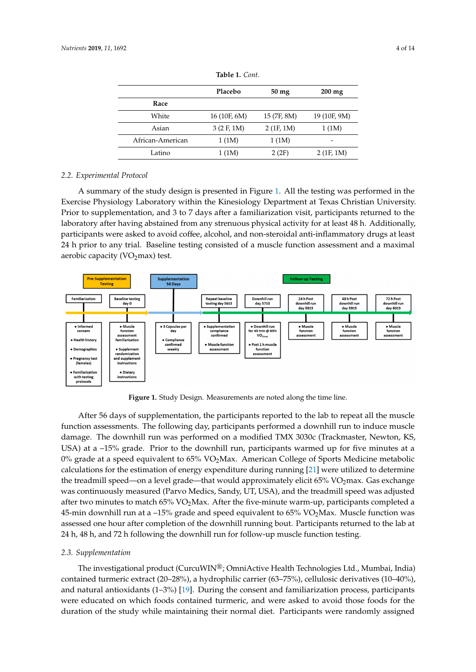<span id="page-4-0"></span>

|                  | Placebo      | $50 \,\mathrm{mg}$ | $200 \text{ mg}$ |
|------------------|--------------|--------------------|------------------|
| Race             |              |                    |                  |
| White            | 16 (10F, 6M) | 15 (7F, 8M)        | 19 (10F, 9M)     |
| Asian            | 3(2 F, 1 M)  | 2(1F, 1M)          | 1(1M)            |
| African-American | 1(1M)        | 1(1M)              | -                |
| Latino           | 1(1M)        | 2(2F)              | 2(1F, 1M)        |

**Table 1.** *Cont*.

### *2.2. Experimental Protocol*

A summary of the study design is presented in Figure [1.](#page-4-1) All the testing was performed in the Exercise Physiology Laboratory within the Kinesiology Department at Texas Christian University. Prior to supplementation, and 3 to 7 days after a familiarization visit, participants returned to the laboratory after having abstained from any strenuous physical activity for at least 48 h. Additionally, participants were asked to avoid coffee, alcohol, and non-steroidal anti-inflammatory drugs at least participants were asked to avoid consisted to a muscle function assessment and a maximal 24 h prior to any trial. Baseline testing consisted of a muscle function assessment and a maximal aerobic capacity (V $O_2$ max) test.  $24 \text{ P}$  h prior to any trial. Baseline testing consisted of a muscle function assessment and a maximal

<span id="page-4-1"></span>

**Figure 1.** Study Design. Measurements are noted along the time line. **Figure 1.** Study Design. Measurements are noted along the time line.

After 56 days of supplementation, the participants reported to the lab to repeat all the muscle After 56 days of supplementation, the participants reported to the lab to repeat all the muscle function assessments. The following day, participants performed a downhill run to induce muscle function assessments. The following day, participants performed a downhill run to induce muscle damage. The downhill run was performed on a modified TMX 3030c (Trackmaster, Newton, KS, USA) at a -15% grade. Prior to the downhill run, participants warmed up for five minutes at a 0% grade at a speed equivalent to  $65\%$  VO<sub>2</sub>Max. American College of Sports Medicine metabolic calculations for the estimation of energy expenditure during running [\[21\]](#page-14-1) were utilized to determine the treadmill speed—on a level grade—that would approximately elicit 65% VO<sub>2</sub>max. Gas exchange was continuously measured (Parvo Medics, Sandy, UT, USA), and the treadmill speed was adjusted was commutedary measured (i. af volved its, bandy, e.f., essay, and the treadmini-speed was adjusted a 4ther two minutes to match  $65\%$  VO<sub>2</sub>Max. After the five-minute warm-up, participants completed a  $\frac{d}{dx}$  –  $\frac{d}{dx}$  and  $\frac{d}{dx}$  and  $\frac{d}{dx}$  are the  $\frac{d}{dx}$  music  $\frac{d}{dx}$ . The  $\frac{d}{dx}$  volume  $\frac{d}{dx}$  complete 45-min downhill run at a –15% grade and speed equivalent to  $65\%$  VO<sub>2</sub>Max. Muscle function was assessed one hour after completion of the downhill running bout. Participants returned to the lab at 24 h, 48 h, and 72 h following the downhill run for follow-up muscle function testing.

#### *2.3. Supplementation 2.3. Supplementation*

The investigational product (CurcuMIN $\sim$  OmniActive Health Technologies Ltd., Mumbai, Mumbai, Mumbai, Mumbai, Mumbai, Mumbai, Mumbai, Mumbai, Mumbai, Mumbai, Mumbai, Mumbai, Mumbai, Mumbai, Mumbai, Mumbai, Mumbai, Mumbai The investigational product (CurcuWIN®; OmniActive Health Technologies Ltd., Mumbai, India) contained turmeric extract (20–28%), a hydrophilic carrier (63–75%), cellulosic derivatives (10–40%), and natural antioxidants (1–3%) [\[19\]](#page-13-18). During the consent and familiarization process, participants were educated on which foods contained turmeric, and were asked to avoid those foods for the duration of the study while maintaining their normal diet. Participants were randomly assigned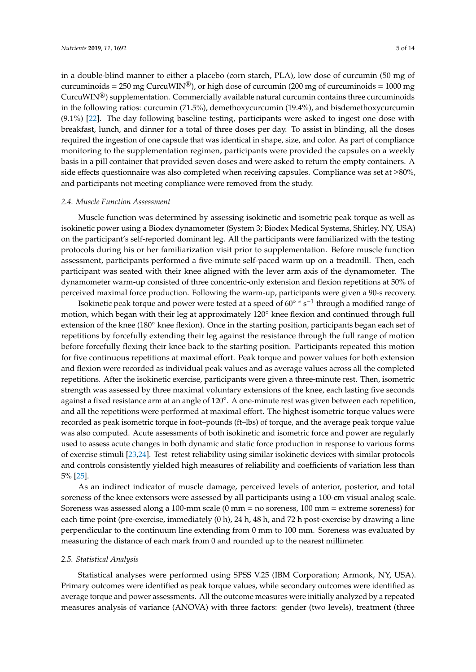in a double-blind manner to either a placebo (corn starch, PLA), low dose of curcumin (50 mg of curcuminoids = 250 mg CurcuWIN<sup>®</sup>), or high dose of curcumin (200 mg of curcuminoids = 1000 mg CurcuWIN®) supplementation. Commercially available natural curcumin contains three curcuminoids in the following ratios: curcumin (71.5%), demethoxycurcumin (19.4%), and bisdemethoxycurcumin (9.1%) [\[22\]](#page-14-2). The day following baseline testing, participants were asked to ingest one dose with breakfast, lunch, and dinner for a total of three doses per day. To assist in blinding, all the doses required the ingestion of one capsule that was identical in shape, size, and color. As part of compliance monitoring to the supplementation regimen, participants were provided the capsules on a weekly basis in a pill container that provided seven doses and were asked to return the empty containers. A side effects questionnaire was also completed when receiving capsules. Compliance was set at  $\geq 80\%$ , and participants not meeting compliance were removed from the study.

### *2.4. Muscle Function Assessment*

Muscle function was determined by assessing isokinetic and isometric peak torque as well as isokinetic power using a Biodex dynamometer (System 3; Biodex Medical Systems, Shirley, NY, USA) on the participant's self-reported dominant leg. All the participants were familiarized with the testing protocols during his or her familiarization visit prior to supplementation. Before muscle function assessment, participants performed a five-minute self-paced warm up on a treadmill. Then, each participant was seated with their knee aligned with the lever arm axis of the dynamometer. The dynamometer warm-up consisted of three concentric-only extension and flexion repetitions at 50% of perceived maximal force production. Following the warm-up, participants were given a 90-s recovery.

Isokinetic peak torque and power were tested at a speed of 60◦ \* s−<sup>1</sup> through a modified range of motion, which began with their leg at approximately 120◦ knee flexion and continued through full extension of the knee (180◦ knee flexion). Once in the starting position, participants began each set of repetitions by forcefully extending their leg against the resistance through the full range of motion before forcefully flexing their knee back to the starting position. Participants repeated this motion for five continuous repetitions at maximal effort. Peak torque and power values for both extension and flexion were recorded as individual peak values and as average values across all the completed repetitions. After the isokinetic exercise, participants were given a three-minute rest. Then, isometric strength was assessed by three maximal voluntary extensions of the knee, each lasting five seconds against a fixed resistance arm at an angle of 120◦ . A one-minute rest was given between each repetition, and all the repetitions were performed at maximal effort. The highest isometric torque values were recorded as peak isometric torque in foot–pounds (ft–lbs) of torque, and the average peak torque value was also computed. Acute assessments of both isokinetic and isometric force and power are regularly used to assess acute changes in both dynamic and static force production in response to various forms of exercise stimuli [\[23,](#page-14-3)[24\]](#page-14-4). Test–retest reliability using similar isokinetic devices with similar protocols and controls consistently yielded high measures of reliability and coefficients of variation less than 5% [\[25\]](#page-14-5).

As an indirect indicator of muscle damage, perceived levels of anterior, posterior, and total soreness of the knee extensors were assessed by all participants using a 100-cm visual analog scale. Soreness was assessed along a 100-mm scale (0 mm = no soreness, 100 mm = extreme soreness) for each time point (pre-exercise, immediately (0 h), 24 h, 48 h, and 72 h post-exercise by drawing a line perpendicular to the continuum line extending from 0 mm to 100 mm. Soreness was evaluated by measuring the distance of each mark from 0 and rounded up to the nearest millimeter.

#### *2.5. Statistical Analysis*

Statistical analyses were performed using SPSS V.25 (IBM Corporation; Armonk, NY, USA). Primary outcomes were identified as peak torque values, while secondary outcomes were identified as average torque and power assessments. All the outcome measures were initially analyzed by a repeated measures analysis of variance (ANOVA) with three factors: gender (two levels), treatment (three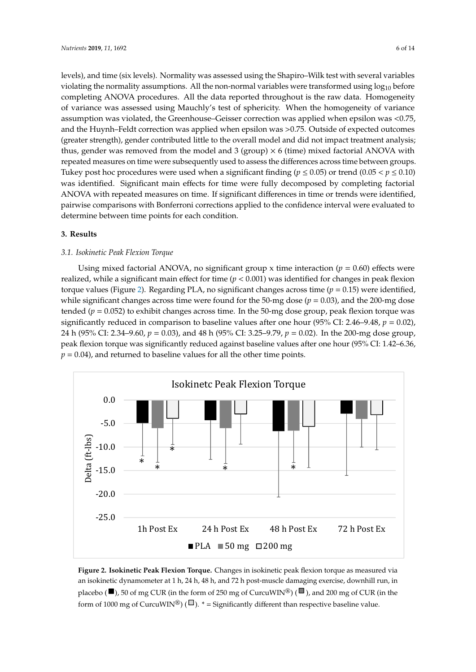levels), and time (six levels). Normality was assessed using the Shapiro–Wilk test with several variables violating the normality assumptions. All the non-normal variables were transformed using  $log_{10}$  before completing ANOVA procedures. All the data reported throughout is the raw data. Homogeneity of variance was assessed using Mauchly's test of sphericity. When the homogeneity of variance assumption was violated, the Greenhouse–Geisser correction was applied when epsilon was <0.75, and the Huynh–Feldt correction was applied when epsilon was >0.75. Outside of expected outcomes (greater strength), gender contributed little to the overall model and did not impact treatment analysis; thus, gender was removed from the model and 3 (group)  $\times$  6 (time) mixed factorial ANOVA with repeated measures on time were subsequently used to assess the differences across time between groups. Tukey post hoc procedures were used when a significant finding ( $p \le 0.05$ ) or trend (0.05 <  $p \le 0.10$ ) was identified. Significant main effects for time were fully decomposed by completing factorial ANOVA with repeated measures on time. If significant differences in time or trends were identified, pairwise comparisons with Bonferroni corrections applied to the confidence interval were evaluated to determine between time points for each condition.

#### **3. Results** realized, while a significant main effect for time (*p* < 0.001) was identified for changes in peak extension torque values (Figure 3). Values changed significantly across time for the PLA (*p* = 0.002) realized, while a significant main effect for time (*p* < 0.001) was identified for changes in peak extension torque values (Figure 3). Values changed significantly across time for the PLA (*p* = 0.002) realized, while a significant main effect for time (*p* < 0.001) was identified for changes in peak extension torque values (Figure 3). Values changed significantly across time for the PLA (*p* = 0.002)

### 3.1. Isokinetic Peak Flexion Torque

Using mixed factorial ANOVA, no significant group x time interaction  $(p = 0.60)$  effects were realized, while a significant main effect for time  $(p < 0.001)$  was identified for changes in peak flexion torque values (Figure [2\)](#page-6-0). Regarding PLA, no significant changes across time ( $p = 0.15$ ) were identified, while significant changes across time were found for the 50-mg dose ( $p = 0.03$ ), and the 200-mg dose tended ( $p = 0.052$ ) to exhibit changes across time. In the 50-mg dose group, peak flexion torque was significantly reduced in comparison to baseline values after one hour  $(95\%$  CI: 2.46–9.48,  $p = 0.02$ ), 24 h (95% CI: 2.34–9.60,  $p = 0.03$ ), and 48 h (95% CI: 3.25–9.79,  $p = 0.02$ ). In the 200-mg dose group, peak flexion torque was significantly reduced against baseline values after one hour (95% CI: 1.42–6.36, *p* = 0.03), *p* = 0.03, *p* = 0.03, *p* = 0.03, *p* = 0.03, *p* = 0.03, *p* = 0.03, *p* = 0.03, *p* = 0.03, *p* = 0  $p = 0.04$ ), and returned to baseline values for all the other time points. k flexion torque was significantly reduced against baseline values after one hour (95% CI: 1.42–6. In PLA, peak extension torque was significantly reduced one hour (95% CI: 8.10–18.04, *p* = 0.01) and Using mixed factorial ANOVA, no significant group x time interaction  $(p = 0.03)$ In PLA, peak extension torque was significantly reduced one hour (95% CI: 8.10–18.04, *p* = 0.01) and In PLA, peak extension torque was significantly reduced one hour (95% CI: 8.10–18.04, *p* = 0.01) and  $\frac{1}{2}$  h (95)  $\frac{1}{2}$  h (95) and the doublet completion of the downline run in comparison to  $\frac{1}{2}$ 

<span id="page-6-0"></span>

Figure 2. Isokinetic Peak Flexion Torque. Changes in isokinetic peak flexion torque as measured via an isokinetic dynamometer at 1 h, 24 h, 48 h, and 72 h post-muscle damaging exercise, downhill run, in placebo ( $\blacksquare$ ), 50 of mg CUR (in the form of 250 mg of CurcuWIN®) ( $\blacksquare$ ), and 200 mg of CUR (in the form of 1000 mg of CurcuWIN®) ( $\Box$ ).  $*$  = Significantly different than respective baseline value.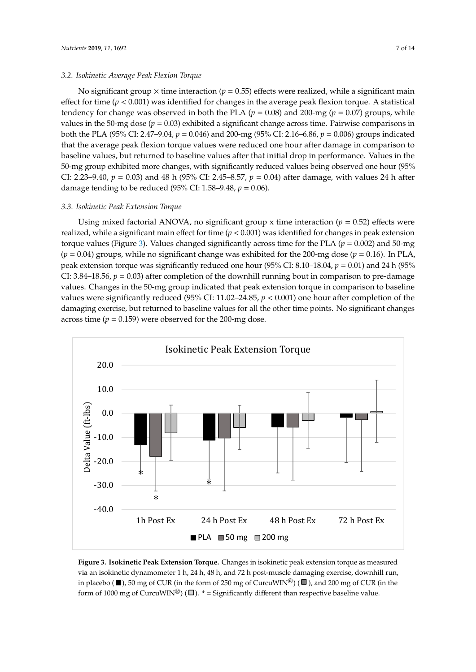### *3.2. Isokinetic Average Peak Flexion Torque*

No significant group  $\times$  time interaction ( $p = 0.55$ ) effects were realized, while a significant main effect for time ( $p < 0.001$ ) was identified for changes in the average peak flexion torque. A statistical tendency for change was observed in both the PLA ( $p = 0.08$ ) and 200-mg ( $p = 0.07$ ) groups, while values in the 50-mg dose ( $p = 0.03$ ) exhibited a significant change across time. Pairwise comparisons in both the PLA (95% CI: 2.47–9.04, *p* = 0.046) and 200-mg (95% CI: 2.16–6.86, *p* = 0.006) groups indicated that the average peak flexion torque values were reduced one hour after damage in comparison to baseline values, but returned to baseline values after that initial drop in performance. Values in the 50-mg group exhibited more changes, with significantly reduced values being observed one hour (95% CI: 2.23–9.40, *p* = 0.03) and 48 h (95% CI: 2.45–8.57, *p* = 0.04) after damage, with values 24 h after damage tending to be reduced (95% CI: 1.58–9.48, *p* = 0.06).

### 3.3. Isokinetic Peak Extension Torque

Using mixed factorial ANOVA, no significant group x time interaction ( $p = 0.52$ ) effects were realized, while a significant main effect for time ( $p < 0.001$ ) was identified for changes in peak extension torque values (Figure 3). Values changed si[gn](#page-7-0)ificantly across time for the PLA ( $p = 0.002$ ) and 50-mg  $(p = 0.04)$  groups, while no significant change was exhibited for the 200-mg dose ( $p = 0.16$ ). In PLA, peak extension torque was significantly reduced one hour (95% CI: 8.10–18.04,  $p = 0.01$ ) and 24 h (95% CI: 3.84–18.56,  $p = 0.03$ ) after completion of the downhill running bout in comparison to pre-damage values. Changes in the 50-mg group indicated that peak extension torque in comparison to baseline values were significantly reduced (95% CI: 11.02–24.85,  $p < 0.001$ ) one hour after completion of the damaging exercise, but returned to baseline values for all the other time points. No significant changes across time ( $p = 0.159$ ) were observed for the 200-mg dose. significant p = 0.109) were observed for the 200-mg dose.

<span id="page-7-0"></span>

Figure 3. Isokinetic Peak Extension Torque. Changes in isokinetic peak extension torque as measured via an isokinetic dynamometer 1 h, 24 h, 48 h, and 72 h post-muscle damaging exercise, downhill run, in placebo ( $\blacksquare$ ), 50 mg of CUR (in the form of 250 mg of CurcuWIN<sup>®</sup>) ( $\blacksquare$ ), and 200 mg of CUR (in the form of 1000 mg of CurcuWIN®) ( $\square$ ). \* = Significantly different than respective baseline value.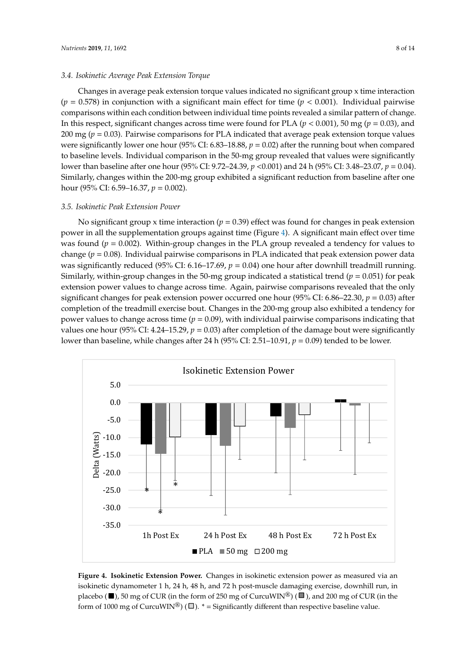### *3.4. Isokinetic Average Peak Extension Torque*

Changes in average peak extension torque values indicated no significant group x time interaction  $(p = 0.578)$  in conjunction with a significant main effect for time  $(p < 0.001)$ . Individual pairwise comparisons within each condition between individual time points revealed a similar pattern of change. In this respect, significant changes across time were found for PLA (*p* < 0.001), 50 mg (*p* = 0.03), and 200 mg (*p* = 0.03). Pairwise comparisons for PLA indicated that average peak extension torque values were significantly lower one hour (95% CI: 6.83–18.88, *p* = 0.02) after the running bout when compared to baseline levels. Individual comparison in the 50-mg group revealed that values were significantly lower than baseline after one hour (95% CI: 9.72–24.39, *p* <0.001) and 24 h (95% CI: 3.48–23.07, *p* = 0.04). Similarly, changes within the 200-mg group exhibited a significant reduction from baseline after one hour (95% CI: 6.59–16.37, *p* = 0.002).

### *3.5. Isokinetic Peak Extension Power*

No significant group x time interaction ( $p = 0.39$ ) effect was found for changes in peak extension power in all the supplementation groups against time (Figure 4). A significant main effect over time was found ( $p = 0.002$ ). Within-group changes in the PLA group revealed a tendency for values to change ( $p = 0.08$ ). Individual pairwise comparisons in PLA indicated that peak extension power data was significantly reduced (95% CI: 6.16–17.69,  $p = 0.04$ ) one hour after downhill treadmill running. Similarly, within-group changes in the 50-mg group indicated a statistical trend ( $p = 0.051$ ) for peak extension power values to change across time. Again, pairwise comparisons revealed that the only significant changes for peak extension power occurred one hour (95% CI: 6.86–22.30,  $p = 0.03$ ) after completion of the treadmill exercise bout. Changes in the 200-mg group also exhibited a tendency for power values to change across time ( $p = 0.09$ ), with individual pairwise comparisons indicating that values one hour (95% CI: 4.24–15.29,  $p = 0.03$ ) after completion of the damage bout were significantly lower than baseline, while changes after 24 h (95% CI: 2.51–10.91,  $p = 0.09$ ) tended to be lower. extension power values to change across time. Again, pairwise comparisons revealed that t than baseline, while changes after 24 h (95% CI: 2.51–10.91,  $p = 0.09$ ) tended to be

<span id="page-8-0"></span>

Figure 4. Isokinetic Extension Power. Changes in isokinetic extension power as measured via an  $\frac{1}{2}$  h,  $\frac{1}{2}$  h,  $\frac{24}{2}$  h,  $\frac{24}{2}$  h,  $\frac{24}{2}$  h,  $\frac{24}{2}$  h,  $\frac{24}{2}$  h,  $\frac{24}{2}$  h,  $\frac{24}{2}$  h,  $\frac{24}{2}$  h,  $\frac{24}{2}$  h,  $\frac{24}{2}$  h,  $\frac{24}{2}$  h,  $\frac{24}{2}$  h,  $\frac{24}{2}$  h,  $\frac{24}{2}$  h, isokinetic dynamometer 1 h, 24 h, 48 h, and 72 h post-muscle damaging exercise, downhill run, in placebo ( $\blacksquare$ ), 50 mg of CUR (in the form of 250 mg of CurcuWIN®) ( $\blacksquare$ ), and 200 mg of CUR (in the form of 1000 mg of CurcuWIN®) ( $\square$ ). \* = Significantly different than respective baseline value.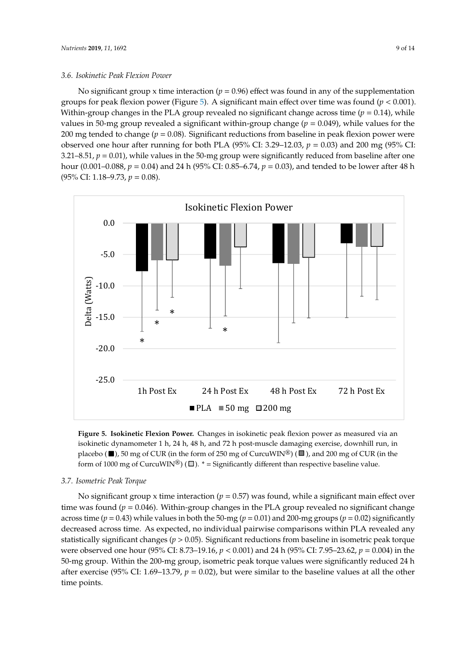#### 3.6. Isokinetic Peak Flexion Power USING MIXED FACTORIAL ANOVA, NO SIGNIFICANT GROUP **interaction (***p* = 0.52) effects were interactional *p* = 0.52 USING MIXED FACTORIAL AND TIME INTERACTION CONTROL AND *p*  $\frac{1}{2}$  effects were interaction (*p* = 0.52) effects were interaction (*p* = 0.52) effects were interactional and **p** = 0.52) effects were interactional and p

No significant group x time interaction ( $p = 0.96$ ) effect was found in any of the supplementation groups for peak flexion power (Figure 5). A sig[nif](#page-9-0)icant main effect over time was found ( $p < 0.001$ ). Within-group changes in the PLA group revealed no significant change across time ( $p = 0.14$ ), while values in 50-mg group revealed a significant within-group change ( $p = 0.049$ ), while values for the 200 mg tended to change ( $p = 0.08$ ). Significant reductions from baseline in peak flexion power were observed one hour after running for both PLA (95% CI: 3.29–12.03,  $p = 0.03$ ) and 200 mg (95% CI: 3.21–8.51,  $p = 0.01$ ), while values in the 50-mg group were significantly reduced from baseline after one hour (0.001–0.088,  $p = 0.04$ ) and 24 h (95% CI: 0.85–6.74,  $p = 0.03$ ), and tended to be lower after 48 h  $(95\% \text{ CI: } 1.18 - 9.73, p = 0.08).$ 

<span id="page-9-0"></span>

Figure 5. Isokinetic Flexion Power. Changes in isokinetic peak flexion power as measured via an isokinetic dynamometer 1 h, 24 h, 48 h, and 72 h post-muscle damaging exercise, downhill run, in placebo ( $\blacksquare$ ), 50 mg of CUR (in the form of 250 mg of CurcuWIN<sup>®</sup>) ( $\blacksquare$ ), and 200 mg of CUR (in the fractive  $(\square)$ , but they can be the start of  $\square$  or the start of  $\square$  or the start of  $\square$  or  $\square$ .

#### *3.7. Isometric Peak Torque 3.4. Isokinetic Average Peak Extension Torque 3.4. Isokinetic Average Peak Extension Torque 3.4. Isokinetic Average Peak Extension Torque 3.7. Isometric Peak Torque*

No significant group x time interaction (*p* = 0.57) was found, while a significant main effect over time was found to be placed that the method of p = 0.07) was found the was found in the PLA group revealed no significant changes in the PLA group revealed no significant changes in the PLA group of the PLA group of the PL time was found  $(p = 0.046)$ . Within-group changes in the PLA group revealed no significant change across time ( $p = 0.43$ ) while values in both the 50-mg ( $p = 0.01$ ) and 200-mg groups ( $p = 0.02$ ) significantly decreased across time. As expected, no individual pairwise comparisons within PLA revealed any statistically significant changes ( $p > 0.05$ ). Significant reductions from baseline in isometric peak torque were observed one hour (95% CI: 8.73–19.16,  $p < 0.001$ ) and 24 h (95% CI: 7.95–23.62,  $p = 0.004$ ) in the 50-mg group. Within the 200-mg group, isometric peak torque values were significantly reduced 24 h after exercise (95% CI: 1.69–13.79,  $p = 0.02$ ), but were similar to the baseline values at all the other *3.8. Isometric Average Peak Torque*  No significant group x time interaction ( $p = 0.57$ ) was found, while a significant main effect over h (95%) CII: 3.48–23.07, *p*  $\alpha$ <sub>1</sub>, *p*  $\alpha$ <sub>1</sub>, *p*  $\alpha$ <sub>1</sub>, *c*<sub>1</sub>, *p*  $\alpha$ <sub>1</sub>, *c*<sub>1</sub>, *c*<sub>1</sub>, *c*<sub>1</sub>, *c*<sub>1</sub>, *c*<sub>1</sub>, *c*<sub>1</sub>, *c*<sub>1</sub>, *c*<sub>1</sub>, *c*<sub>1</sub>, *c*<sub>1</sub>, *c*<sub>1</sub>, *c*<sub>1</sub>, *c*<sub>1</sub>, *c*<sub>1</sub>, *c*<sub>1</sub>, *c*<sub>1</sub>, *c*<sub>1</sub>, h (95%). Similarly, **p**  $\alpha$ <sub>1</sub>, *p*  $\alpha$ <sub>1</sub>, *p*  $\alpha$ <sub>1</sub>, *c*<sub>1</sub>, *c*<sub>1</sub>, *c*<sub>1</sub>, *c*<sub>1</sub>, *c*<sub>1</sub>, *c*<sub>1</sub>, *c*<sub>1</sub>, *c*<sub>1</sub>, *c*<sub>1</sub>, *c*<sub>1</sub>, *c*<sub>1</sub>, *c*<sub>1</sub>, *c*<sub>1</sub>, *c*<sub>1</sub>, *c*<sub>1</sub>, *c*<sub>1</sub>, *c*<sub>1</sub>, *c*<sub>1</sub>, *c*<sub>1</sub>, *c*<sub>1</sub>, *c* f (95% CIII: 3.48–23.07, *p*  $\overline{a}$ ). Similarly, changes with the 200-mg group exhibited a significant a significant a significant a significant a significant a significant a significant a significant a significant a sig time points.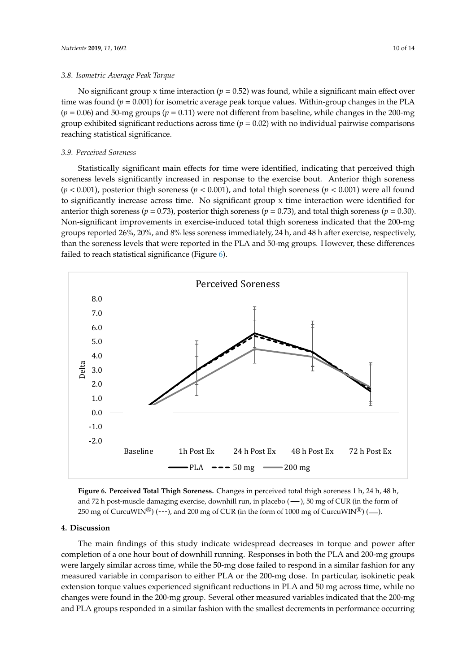### *3.8. Isometric Average Peak Torque*

No significant group x time interaction ( $p = 0.52$ ) was found, while a significant main effect over time was found  $(p = 0.001)$  for isometric average peak torque values. Within-group changes in the PLA  $(p = 0.06)$  and 50-mg groups  $(p = 0.11)$  were not different from baseline, while changes in the 200-mg group exhibited significant reductions across time  $(p = 0.02)$  with no individual pairwise comparisons reaching statistical significance.

### *3.9. Perceived Soreness*

Statistically significant main effects for time were identified, indicating that perceived thigh soreness levels significantly increased in response to the exercise bout. Anterior thigh soreness (*p* < 0.001), posterior thigh soreness (*p* < 0.001), and total thigh soreness (*p* < 0.001) were all found to significantly increase across time. No significant group x time interaction were identified for anterior thigh soreness ( $p = 0.73$ ), posterior thigh soreness ( $p = 0.73$ ), and total thigh soreness ( $p = 0.30$ ). Non-significant improvements in exercise-induced total thigh soreness indicated that the 200-mg groups reported 26%, 20%, and 8% less soreness immediately, 24 h, and 48 h after exercise, respectively, than the soreness levels that were reported in the PLA and 50-mg groups. However, these differences failed to reach statistical significance (Figure [6\)](#page-10-0). failed to reach statistical significance (Figure 6). the sorteness levels that were reported in the PLA and 50-mg groups. However, the PLA and  $\alpha$  $\epsilon$  than the soreness levels that were reported in the

<span id="page-10-0"></span>

Figure 6. Perceived Total Thigh Soreness. Changes in perceived total thigh soreness 1 h, 24 h, 48 h, and 72 h post-muscle damaging exercise, downhill run, in placebo (-), 50 mg of CUR (in the form of 250 mg of CurcuWIN<sup>®</sup>) (---), and 200 mg of CUR (in the form of 1000 mg of CurcuWIN<sup>®</sup>) (-

## **4. Discussion 4. Discussion 4. Discussion 4. Discussion 4. Discussion**

The main findings of this study indicate widespread decreases in torque and power after explotion of a one hour bout of downhill running. Responses in both the PLA and 200-mg  $\sigma$ we largely similar across time, while the  $50-$ mg dose failed to respond in a similar fashion for  $\frac{1}{\sqrt{2}}$  measured variable in comparison to either PLA or the 200-mg dose. In particular, isokinetic peaks measured variable in comparison to entier r.L.A or the 200-ing dose. In particular, isokinetic pear extension torque values experienced significant reductions in PLA and 50 mg across time, while he changes were found in the 200-mg group. Several other measured variables indicated that the 200-mg and PLA groups responded in a similar fashion with the smallest decrements in performance occurring completion of a one hour bout of downhill running. Responses in both the PLA and 200-mg groups completion of a one hour bout of downhill running. Responses in both the PLA and 200-mg groups were largely similar across time, while the 50-mg dose failed to respond in a similar fashion for any were largely similar across time, while the 50-mg dose failed to respond in a similar fashion for any The main findings of this study indicate widespread decreases in torque and power after completion of a one hour bout of downhill running. Responses in both the PLA and 200-mg groups completion of a one hour bout of downhill running. Responses in both the PLA and 200-mg groups were largely similar across time, while the 50-mg dose failed to respond in a similar fashion for any were largery similar across time, while the 50-mg dose failed to respond in a similar fashion for any measured variable in comparison to either PLA or the 200-mg dose. In particular, isokinetic peak measured variable in comparison to either PLA or the 200-mg dose. In particular, isokinetic peak extension torque values experienced significant reductions in PLA and 50 mg across time, while no position of the state of the state of the state of the state of the state of the state of the state of the state of the stat changes were found in the 200-mg group. Several other measured variables indicated that the 200 mg and PLA groups responded in a similar fashion with the smallest decrements in performance and PLA groups responded in a similar fashion with the smallest decrements in performance occurring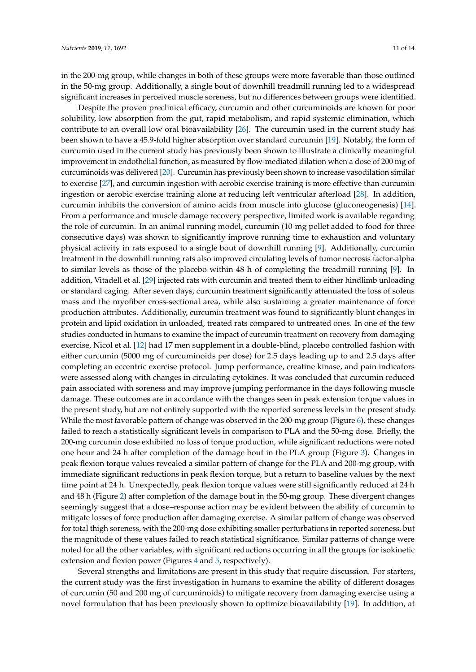in the 200-mg group, while changes in both of these groups were more favorable than those outlined in the 50-mg group. Additionally, a single bout of downhill treadmill running led to a widespread significant increases in perceived muscle soreness, but no differences between groups were identified.

Despite the proven preclinical efficacy, curcumin and other curcuminoids are known for poor solubility, low absorption from the gut, rapid metabolism, and rapid systemic elimination, which contribute to an overall low oral bioavailability [\[26\]](#page-14-6). The curcumin used in the current study has been shown to have a 45.9-fold higher absorption over standard curcumin [\[19\]](#page-13-18). Notably, the form of curcumin used in the current study has previously been shown to illustrate a clinically meaningful improvement in endothelial function, as measured by flow-mediated dilation when a dose of 200 mg of curcuminoids was delivered [\[20\]](#page-14-0). Curcumin has previously been shown to increase vasodilation similar to exercise [\[27\]](#page-14-7), and curcumin ingestion with aerobic exercise training is more effective than curcumin ingestion or aerobic exercise training alone at reducing left ventricular afterload [\[28\]](#page-14-8). In addition, curcumin inhibits the conversion of amino acids from muscle into glucose (gluconeogenesis) [\[14\]](#page-13-13). From a performance and muscle damage recovery perspective, limited work is available regarding the role of curcumin. In an animal running model, curcumin (10-mg pellet added to food for three consecutive days) was shown to significantly improve running time to exhaustion and voluntary physical activity in rats exposed to a single bout of downhill running [\[9\]](#page-13-8). Additionally, curcumin treatment in the downhill running rats also improved circulating levels of tumor necrosis factor-alpha to similar levels as those of the placebo within 48 h of completing the treadmill running [\[9\]](#page-13-8). In addition, Vitadell et al. [\[29\]](#page-14-9) injected rats with curcumin and treated them to either hindlimb unloading or standard caging. After seven days, curcumin treatment significantly attenuated the loss of soleus mass and the myofiber cross-sectional area, while also sustaining a greater maintenance of force production attributes. Additionally, curcumin treatment was found to significantly blunt changes in protein and lipid oxidation in unloaded, treated rats compared to untreated ones. In one of the few studies conducted in humans to examine the impact of curcumin treatment on recovery from damaging exercise, Nicol et al. [\[12\]](#page-13-11) had 17 men supplement in a double-blind, placebo controlled fashion with either curcumin (5000 mg of curcuminoids per dose) for 2.5 days leading up to and 2.5 days after completing an eccentric exercise protocol. Jump performance, creatine kinase, and pain indicators were assessed along with changes in circulating cytokines. It was concluded that curcumin reduced pain associated with soreness and may improve jumping performance in the days following muscle damage. These outcomes are in accordance with the changes seen in peak extension torque values in the present study, but are not entirely supported with the reported soreness levels in the present study. While the most favorable pattern of change was observed in the 200-mg group (Figure [6\)](#page-10-0), these changes failed to reach a statistically significant levels in comparison to PLA and the 50-mg dose. Briefly, the 200-mg curcumin dose exhibited no loss of torque production, while significant reductions were noted one hour and 24 h after completion of the damage bout in the PLA group (Figure [3\)](#page-7-0). Changes in peak flexion torque values revealed a similar pattern of change for the PLA and 200-mg group, with immediate significant reductions in peak flexion torque, but a return to baseline values by the next time point at 24 h. Unexpectedly, peak flexion torque values were still significantly reduced at 24 h and 48 h (Figure [2\)](#page-6-0) after completion of the damage bout in the 50-mg group. These divergent changes seemingly suggest that a dose–response action may be evident between the ability of curcumin to mitigate losses of force production after damaging exercise. A similar pattern of change was observed for total thigh soreness, with the 200-mg dose exhibiting smaller perturbations in reported soreness, but the magnitude of these values failed to reach statistical significance. Similar patterns of change were noted for all the other variables, with significant reductions occurring in all the groups for isokinetic extension and flexion power (Figures [4](#page-8-0) and [5,](#page-9-0) respectively).

Several strengths and limitations are present in this study that require discussion. For starters, the current study was the first investigation in humans to examine the ability of different dosages of curcumin (50 and 200 mg of curcuminoids) to mitigate recovery from damaging exercise using a novel formulation that has been previously shown to optimize bioavailability [\[19\]](#page-13-18). In addition, at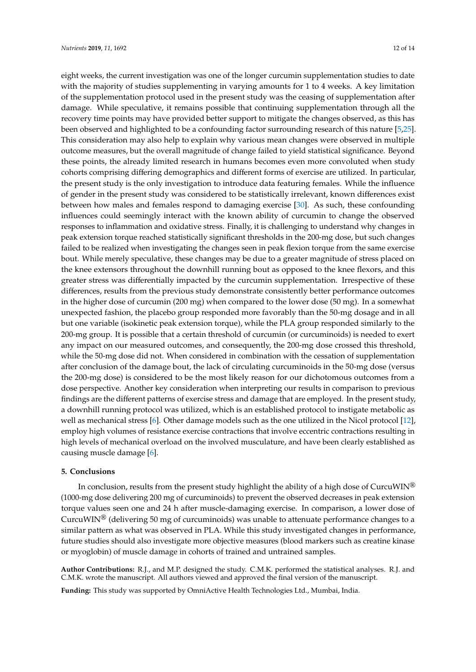eight weeks, the current investigation was one of the longer curcumin supplementation studies to date with the majority of studies supplementing in varying amounts for 1 to 4 weeks. A key limitation of the supplementation protocol used in the present study was the ceasing of supplementation after damage. While speculative, it remains possible that continuing supplementation through all the recovery time points may have provided better support to mitigate the changes observed, as this has been observed and highlighted to be a confounding factor surrounding research of this nature [\[5,](#page-13-4)[25\]](#page-14-5). This consideration may also help to explain why various mean changes were observed in multiple outcome measures, but the overall magnitude of change failed to yield statistical significance. Beyond these points, the already limited research in humans becomes even more convoluted when study cohorts comprising differing demographics and different forms of exercise are utilized. In particular, the present study is the only investigation to introduce data featuring females. While the influence of gender in the present study was considered to be statistically irrelevant, known differences exist between how males and females respond to damaging exercise [\[30\]](#page-14-10). As such, these confounding influences could seemingly interact with the known ability of curcumin to change the observed responses to inflammation and oxidative stress. Finally, it is challenging to understand why changes in peak extension torque reached statistically significant thresholds in the 200-mg dose, but such changes failed to be realized when investigating the changes seen in peak flexion torque from the same exercise bout. While merely speculative, these changes may be due to a greater magnitude of stress placed on the knee extensors throughout the downhill running bout as opposed to the knee flexors, and this greater stress was differentially impacted by the curcumin supplementation. Irrespective of these differences, results from the previous study demonstrate consistently better performance outcomes in the higher dose of curcumin (200 mg) when compared to the lower dose (50 mg). In a somewhat unexpected fashion, the placebo group responded more favorably than the 50-mg dosage and in all but one variable (isokinetic peak extension torque), while the PLA group responded similarly to the 200-mg group. It is possible that a certain threshold of curcumin (or curcuminoids) is needed to exert any impact on our measured outcomes, and consequently, the 200-mg dose crossed this threshold, while the 50-mg dose did not. When considered in combination with the cessation of supplementation after conclusion of the damage bout, the lack of circulating curcuminoids in the 50-mg dose (versus the 200-mg dose) is considered to be the most likely reason for our dichotomous outcomes from a dose perspective. Another key consideration when interpreting our results in comparison to previous findings are the different patterns of exercise stress and damage that are employed. In the present study, a downhill running protocol was utilized, which is an established protocol to instigate metabolic as well as mechanical stress [\[6\]](#page-13-5). Other damage models such as the one utilized in the Nicol protocol [\[12\]](#page-13-11), employ high volumes of resistance exercise contractions that involve eccentric contractions resulting in high levels of mechanical overload on the involved musculature, and have been clearly established as causing muscle damage [\[6\]](#page-13-5).

### **5. Conclusions**

In conclusion, results from the present study highlight the ability of a high dose of CurcuWIN<sup>®</sup> (1000-mg dose delivering 200 mg of curcuminoids) to prevent the observed decreases in peak extension torque values seen one and 24 h after muscle-damaging exercise. In comparison, a lower dose of Curcu $\text{WIN}^{\textcircled{\text{B}}}$  (delivering 50 mg of curcuminoids) was unable to attenuate performance changes to a similar pattern as what was observed in PLA. While this study investigated changes in performance, future studies should also investigate more objective measures (blood markers such as creatine kinase or myoglobin) of muscle damage in cohorts of trained and untrained samples.

**Author Contributions:** R.J., and M.P. designed the study. C.M.K. performed the statistical analyses. R.J. and C.M.K. wrote the manuscript. All authors viewed and approved the final version of the manuscript.

Funding: This study was supported by OmniActive Health Technologies Ltd., Mumbai, India.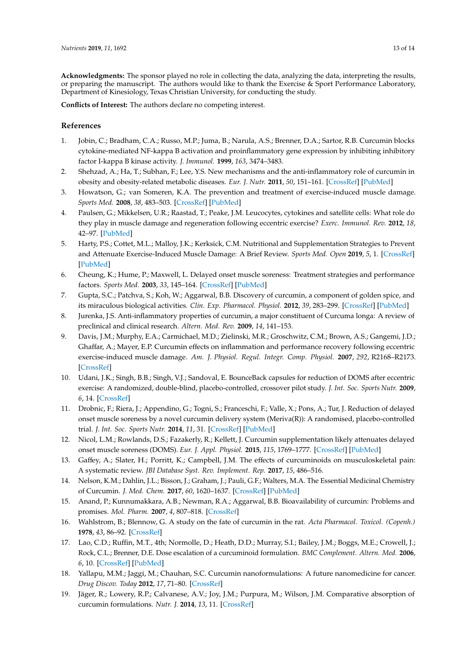**Acknowledgments:** The sponsor played no role in collecting the data, analyzing the data, interpreting the results, or preparing the manuscript. The authors would like to thank the Exercise & Sport Performance Laboratory, Department of Kinesiology, Texas Christian University, for conducting the study.

**Conflicts of Interest:** The authors declare no competing interest.

### **References**

- <span id="page-13-0"></span>1. Jobin, C.; Bradham, C.A.; Russo, M.P.; Juma, B.; Narula, A.S.; Brenner, D.A.; Sartor, R.B. Curcumin blocks cytokine-mediated NF-kappa B activation and proinflammatory gene expression by inhibiting inhibitory factor I-kappa B kinase activity. *J. Immunol.* **1999**, *163*, 3474–3483.
- <span id="page-13-1"></span>2. Shehzad, A.; Ha, T.; Subhan, F.; Lee, Y.S. New mechanisms and the anti-inflammatory role of curcumin in obesity and obesity-related metabolic diseases. *Eur. J. Nutr.* **2011**, *50*, 151–161. [\[CrossRef\]](http://dx.doi.org/10.1007/s00394-011-0188-1) [\[PubMed\]](http://www.ncbi.nlm.nih.gov/pubmed/21442412)
- <span id="page-13-2"></span>3. Howatson, G.; van Someren, K.A. The prevention and treatment of exercise-induced muscle damage. *Sports Med.* **2008**, *38*, 483–503. [\[CrossRef\]](http://dx.doi.org/10.2165/00007256-200838060-00004) [\[PubMed\]](http://www.ncbi.nlm.nih.gov/pubmed/18489195)
- <span id="page-13-3"></span>4. Paulsen, G.; Mikkelsen, U.R.; Raastad, T.; Peake, J.M. Leucocytes, cytokines and satellite cells: What role do they play in muscle damage and regeneration following eccentric exercise? *Exerc. Immunol. Rev.* **2012**, *18*, 42–97. [\[PubMed\]](http://www.ncbi.nlm.nih.gov/pubmed/22876722)
- <span id="page-13-4"></span>5. Harty, P.S.; Cottet, M.L.; Malloy, J.K.; Kerksick, C.M. Nutritional and Supplementation Strategies to Prevent and Attenuate Exercise-Induced Muscle Damage: A Brief Review. *Sports Med. Open* **2019**, *5*, 1. [\[CrossRef\]](http://dx.doi.org/10.1186/s40798-018-0176-6) [\[PubMed\]](http://www.ncbi.nlm.nih.gov/pubmed/30617517)
- <span id="page-13-5"></span>6. Cheung, K.; Hume, P.; Maxwell, L. Delayed onset muscle soreness: Treatment strategies and performance factors. *Sports Med.* **2003**, *33*, 145–164. [\[CrossRef\]](http://dx.doi.org/10.2165/00007256-200333020-00005) [\[PubMed\]](http://www.ncbi.nlm.nih.gov/pubmed/12617692)
- <span id="page-13-6"></span>7. Gupta, S.C.; Patchva, S.; Koh, W.; Aggarwal, B.B. Discovery of curcumin, a component of golden spice, and its miraculous biological activities. *Clin. Exp. Pharmacol. Physiol.* **2012**, *39*, 283–299. [\[CrossRef\]](http://dx.doi.org/10.1111/j.1440-1681.2011.05648.x) [\[PubMed\]](http://www.ncbi.nlm.nih.gov/pubmed/22118895)
- <span id="page-13-7"></span>8. Jurenka, J.S. Anti-inflammatory properties of curcumin, a major constituent of Curcuma longa: A review of preclinical and clinical research. *Altern. Med. Rev.* **2009**, *14*, 141–153.
- <span id="page-13-8"></span>9. Davis, J.M.; Murphy, E.A.; Carmichael, M.D.; Zielinski, M.R.; Groschwitz, C.M.; Brown, A.S.; Gangemi, J.D.; Ghaffar, A.; Mayer, E.P. Curcumin effects on inflammation and performance recovery following eccentric exercise-induced muscle damage. *Am. J. Physiol. Regul. Integr. Comp. Physiol.* **2007**, *292*, R2168–R2173. [\[CrossRef\]](http://dx.doi.org/10.1152/ajpregu.00858.2006)
- <span id="page-13-9"></span>10. Udani, J.K.; Singh, B.B.; Singh, V.J.; Sandoval, E. BounceBack capsules for reduction of DOMS after eccentric exercise: A randomized, double-blind, placebo-controlled, crossover pilot study. *J. Int. Soc. Sports Nutr.* **2009**, *6*, 14. [\[CrossRef\]](http://dx.doi.org/10.1186/1550-2783-6-14)
- <span id="page-13-10"></span>11. Drobnic, F.; Riera, J.; Appendino, G.; Togni, S.; Franceschi, F.; Valle, X.; Pons, A.; Tur, J. Reduction of delayed onset muscle soreness by a novel curcumin delivery system (Meriva(R)): A randomised, placebo-controlled trial. *J. Int. Soc. Sports Nutr.* **2014**, *11*, 31. [\[CrossRef\]](http://dx.doi.org/10.1186/1550-2783-11-31) [\[PubMed\]](http://www.ncbi.nlm.nih.gov/pubmed/24982601)
- <span id="page-13-11"></span>12. Nicol, L.M.; Rowlands, D.S.; Fazakerly, R.; Kellett, J. Curcumin supplementation likely attenuates delayed onset muscle soreness (DOMS). *Eur. J. Appl. Physiol.* **2015**, *115*, 1769–1777. [\[CrossRef\]](http://dx.doi.org/10.1007/s00421-015-3152-6) [\[PubMed\]](http://www.ncbi.nlm.nih.gov/pubmed/25795285)
- <span id="page-13-12"></span>13. Gaffey, A.; Slater, H.; Porritt, K.; Campbell, J.M. The effects of curcuminoids on musculoskeletal pain: A systematic review. *JBI Database Syst. Rev. Implement. Rep.* **2017**, *15*, 486–516.
- <span id="page-13-13"></span>14. Nelson, K.M.; Dahlin, J.L.; Bisson, J.; Graham, J.; Pauli, G.F.; Walters, M.A. The Essential Medicinal Chemistry of Curcumin. *J. Med. Chem.* **2017**, *60*, 1620–1637. [\[CrossRef\]](http://dx.doi.org/10.1021/acs.jmedchem.6b00975) [\[PubMed\]](http://www.ncbi.nlm.nih.gov/pubmed/28074653)
- <span id="page-13-14"></span>15. Anand, P.; Kunnumakkara, A.B.; Newman, R.A.; Aggarwal, B.B. Bioavailability of curcumin: Problems and promises. *Mol. Pharm.* **2007**, *4*, 807–818. [\[CrossRef\]](http://dx.doi.org/10.1021/mp700113r)
- <span id="page-13-15"></span>16. Wahlstrom, B.; Blennow, G. A study on the fate of curcumin in the rat. *Acta Pharmacol. Toxicol. (Copenh.)* **1978**, *43*, 86–92. [\[CrossRef\]](http://dx.doi.org/10.1111/j.1600-0773.1978.tb02240.x)
- <span id="page-13-16"></span>17. Lao, C.D.; Ruffin, M.T., 4th; Normolle, D.; Heath, D.D.; Murray, S.I.; Bailey, J.M.; Boggs, M.E.; Crowell, J.; Rock, C.L.; Brenner, D.E. Dose escalation of a curcuminoid formulation. *BMC Complement. Altern. Med.* **2006**, *6*, 10. [\[CrossRef\]](http://dx.doi.org/10.1186/1472-6882-6-10) [\[PubMed\]](http://www.ncbi.nlm.nih.gov/pubmed/16545122)
- <span id="page-13-17"></span>18. Yallapu, M.M.; Jaggi, M.; Chauhan, S.C. Curcumin nanoformulations: A future nanomedicine for cancer. *Drug Discov. Today* **2012**, *17*, 71–80. [\[CrossRef\]](http://dx.doi.org/10.1016/j.drudis.2011.09.009)
- <span id="page-13-18"></span>19. Jäger, R.; Lowery, R.P.; Calvanese, A.V.; Joy, J.M.; Purpura, M.; Wilson, J.M. Comparative absorption of curcumin formulations. *Nutr. J.* **2014**, *13*, 11. [\[CrossRef\]](http://dx.doi.org/10.1186/1475-2891-13-11)